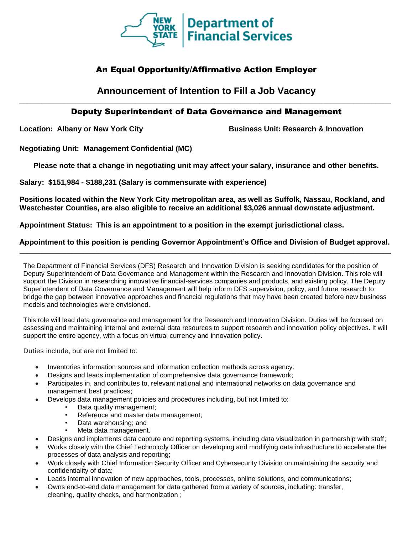

# An Equal Opportunity/Affirmative Action Employer

### **Announcement of Intention to Fill a Job Vacancy \_\_\_\_\_\_\_\_\_\_\_\_\_\_\_\_\_\_\_\_\_\_\_\_\_\_\_\_\_\_\_\_\_\_\_\_\_\_\_\_\_\_\_\_\_\_\_\_\_\_\_\_\_\_\_\_\_\_\_\_\_\_\_\_\_\_\_\_\_\_\_\_\_\_\_\_\_\_\_\_\_\_\_\_\_\_\_\_\_\_\_\_\_\_\_\_\_\_\_**

## Deputy Superintendent of Data Governance and Management

**Location: Albany or New York City Business Unit: Research & Innovation**

**Negotiating Unit: Management Confidential (MC)**

**Please note that a change in negotiating unit may affect your salary, insurance and other benefits.**

**Salary: \$151,984 - \$188,231 (Salary is commensurate with experience)**

**Positions located within the New York City metropolitan area, as well as Suffolk, Nassau, Rockland, and Westchester Counties, are also eligible to receive an additional \$3,026 annual downstate adjustment.**

**Appointment Status: This is an appointment to a position in the exempt jurisdictional class.**

**Appointment to this position is pending Governor Appointment's Office and Division of Budget approval. \_\_\_\_\_\_\_\_\_\_\_\_\_\_\_\_\_\_\_\_\_\_\_\_\_\_\_\_\_\_\_\_\_\_\_\_\_\_\_\_\_\_\_\_\_\_\_\_\_\_\_\_\_\_\_\_\_\_\_\_\_\_\_\_\_\_\_\_\_\_\_\_\_\_\_\_\_\_\_\_\_\_\_\_\_\_\_\_\_\_\_\_\_\_\_\_\_\_\_**

The Department of Financial Services (DFS) Research and Innovation Division is seeking candidates for the position of Deputy Superintendent of Data Governance and Management within the Research and Innovation Division. This role will support the Division in researching innovative financial-services companies and products, and existing policy. The Deputy Superintendent of Data Governance and Management will help inform DFS supervision, policy, and future research to bridge the gap between innovative approaches and financial regulations that may have been created before new business models and technologies were envisioned.

This role will lead data governance and management for the Research and Innovation Division. Duties will be focused on assessing and maintaining internal and external data resources to support research and innovation policy objectives. It will support the entire agency, with a focus on virtual currency and innovation policy.

Duties include, but are not limited to:

- Inventories information sources and information collection methods across agency;
- Designs and leads implementation of comprehensive data governance framework;
- Participates in, and contributes to, relevant national and international networks on data governance and management best practices;
- Develops data management policies and procedures including, but not limited to:
	- Data quality management;
		- Reference and master data management;
		- Data warehousing; and
		- Meta data management.
- Designs and implements data capture and reporting systems, including data visualization in partnership with staff;
- Works closely with the Chief Technolody Officer on developing and modifying data infrastructure to accelerate the processes of data analysis and reporting;
- Work closely with Chief Information Security Officer and Cybersecurity Division on maintaining the security and confidentiality of data;
- Leads internal innovation of new approaches, tools, processes, online solutions, and communications;
- Owns end-to-end data management for data gathered from a variety of sources, including: transfer, cleaning, quality checks, and harmonization ;